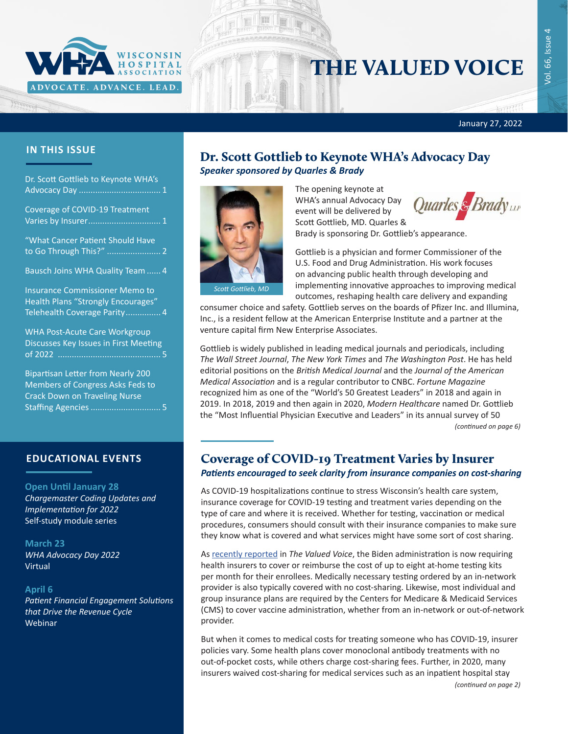

# THE VALUED VOICE

January 27, 2022

### **IN THIS ISSUE**

| Dr. Scott Gottlieb to Keynote WHA's                                                                                       |
|---------------------------------------------------------------------------------------------------------------------------|
| Coverage of COVID-19 Treatment<br>Varies by Insurer 1                                                                     |
| "What Cancer Patient Should Have                                                                                          |
| Bausch Joins WHA Quality Team  4                                                                                          |
| <b>Insurance Commissioner Memo to</b><br>Health Plans "Strongly Encourages"<br>Telehealth Coverage Parity 4               |
| <b>WHA Post-Acute Care Workgroup</b><br>Discusses Key Issues in First Meeting                                             |
| <b>Bipartisan Letter from Nearly 200</b><br><b>Members of Congress Asks Feds to</b><br>Cusal: Davius au Tuscolisae Nicusa |

Crack Down on Traveling Nurse Staffing Agencies[..............................](#page-4-0) 5

## **EDUCATIONAL EVENTS**

#### **Open Until January 28** *[Chargemaster Coding Updates and](https://www.wha.org/Chargemaster2022-1)  [Implementation for 2022](https://www.wha.org/Chargemaster2022-1)* Self-study module series

**March 23** *[WHA Advocacy Day 2022](https://www.wha.org/AboutWHA/CalendarofEvents/Conference/AD-2022-(1))* Virtual

#### **April 6**

*[Patient Financial Engagement Solutions](https://www.wha.org/AboutWHA/CalendarofEvents/Webinar-Online-Education/Patient-Engagement)  [that Drive the Revenue Cycle](https://www.wha.org/AboutWHA/CalendarofEvents/Webinar-Online-Education/Patient-Engagement)* Webinar

## Dr. Scott Gottlieb to Keynote WHA's Advocacy Day *Speaker sponsored by Quarles & Brady*



The opening keynote at WHA's annual Advocacy Day event will be delivered by Scott Gottlieb, MD. Quarles &



Brady is sponsoring Dr. Gottlieb's appearance.

Gottlieb is a physician and former Commissioner of the U.S. Food and Drug Administration. His work focuses on advancing public health through developing and implementing innovative approaches to improving medical outcomes, reshaping health care delivery and expanding

consumer choice and safety. Gottlieb serves on the boards of Pfizer Inc. and Illumina, Inc., is a resident fellow at the American Enterprise Institute and a partner at the venture capital firm New Enterprise Associates.

Gottlieb is widely published in leading medical journals and periodicals, including *The Wall Street Journal*, *The New York Times* and *The Washington Post*. He has held editorial positions on the *British Medical Journal* and the *Journal of the American Medical Association* and is a regular contributor to CNBC. *Fortune Magazine* recognized him as one of the "World's 50 Greatest Leaders" in 2018 and again in 2019. In 2018, 2019 and then again in 2020, *Modern Healthcare* named Dr. Gottlieb the "Most Influential Physician Executive and Leaders" in its annual survey of 50 *(continued on page 6)*

## Coverage of COVID-19 Treatment Varies by Insurer *Patients encouraged to seek clarity from insurance companies on cost-sharing*

As COVID-19 hospitalizations continue to stress Wisconsin's health care system, insurance coverage for COVID-19 testing and treatment varies depending on the type of care and where it is received. Whether for testing, vaccination or medical procedures, consumers should consult with their insurance companies to make sure they know what is covered and what services might have some sort of cost sharing.

As [recently reported](https://www.wha.org/MediaRoom/WHANewsletter/2022/01-13-2022/Starting-Jan-15,-Insurers-Required-to-Cover-At-Hom) in *The Valued Voice*, the Biden administration is now requiring health insurers to cover or reimburse the cost of up to eight at-home testing kits per month for their enrollees. Medically necessary testing ordered by an in-network provider is also typically covered with no cost-sharing. Likewise, most individual and group insurance plans are required by the Centers for Medicare & Medicaid Services (CMS) to cover vaccine administration, whether from an in-network or out-of-network provider.

But when it comes to medical costs for treating someone who has COVID-19, insurer policies vary. Some health plans cover monoclonal antibody treatments with no out-of-pocket costs, while others charge cost-sharing fees. Further, in 2020, many insurers waived cost-sharing for medical services such as an inpatient hospital stay

*(continued on page 2)*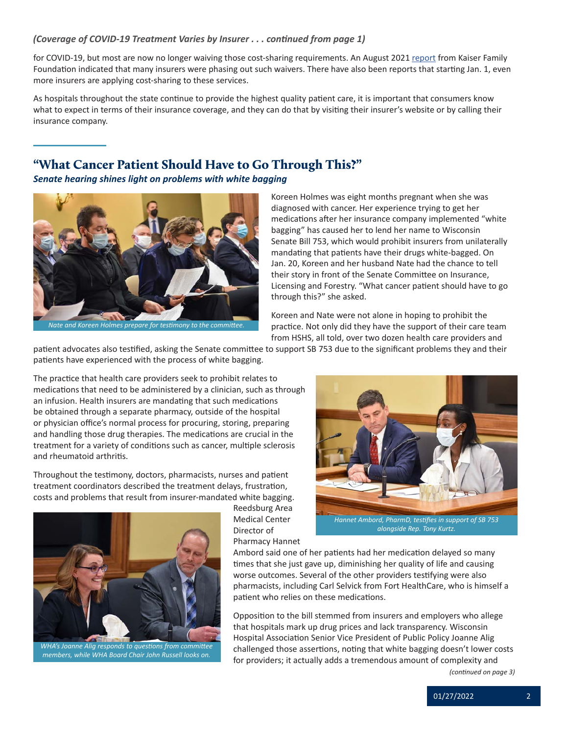#### <span id="page-1-0"></span>*(Coverage of COVID-19 Treatment Varies by Insurer . . . continued from page 1)*

for COVID-19, but most are now no longer waiving those cost-sharing requirements. An August 2021 [report](https://www.healthsystemtracker.org/brief/most-private-insurers-are-no-longer-waiving-cost-sharing-for-covid-19-treatment/) from Kaiser Family Foundation indicated that many insurers were phasing out such waivers. There have also been reports that starting Jan. 1, even more insurers are applying cost-sharing to these services.

As hospitals throughout the state continue to provide the highest quality patient care, it is important that consumers know what to expect in terms of their insurance coverage, and they can do that by visiting their insurer's website or by calling their insurance company.

## "What Cancer Patient Should Have to Go Through This?"

*Senate hearing shines light on problems with white bagging*



*Nate and Koreen Holmes prepare for testimony to the committee.*

Koreen Holmes was eight months pregnant when she was diagnosed with cancer. Her experience trying to get her medications after her insurance company implemented "white bagging" has caused her to lend her name to Wisconsin Senate Bill 753, which would prohibit insurers from unilaterally mandating that patients have their drugs white-bagged. On Jan. 20, Koreen and her husband Nate had the chance to tell their story in front of the Senate Committee on Insurance, Licensing and Forestry. "What cancer patient should have to go through this?" she asked.

Koreen and Nate were not alone in hoping to prohibit the practice. Not only did they have the support of their care team from HSHS, all told, over two dozen health care providers and

patient advocates also testified, asking the Senate committee to support SB 753 due to the significant problems they and their patients have experienced with the process of white bagging.

The practice that health care providers seek to prohibit relates to medications that need to be administered by a clinician, such as through an infusion. Health insurers are mandating that such medications be obtained through a separate pharmacy, outside of the hospital or physician office's normal process for procuring, storing, preparing and handling those drug therapies. The medications are crucial in the treatment for a variety of conditions such as cancer, multiple sclerosis and rheumatoid arthritis.

Throughout the testimony, doctors, pharmacists, nurses and patient treatment coordinators described the treatment delays, frustration, costs and problems that result from insurer-mandated white bagging.



*WHA's Joanne Alig responds to questions from committee members, while WHA Board Chair John Russell looks on.*

Reedsburg Area Medical Center Director of Pharmacy Hannet



*alongside Rep. Tony Kurtz.*

Ambord said one of her patients had her medication delayed so many times that she just gave up, diminishing her quality of life and causing worse outcomes. Several of the other providers testifying were also pharmacists, including Carl Selvick from Fort HealthCare, who is himself a patient who relies on these medications.

Opposition to the bill stemmed from insurers and employers who allege that hospitals mark up drug prices and lack transparency. Wisconsin Hospital Association Senior Vice President of Public Policy Joanne Alig challenged those assertions, noting that white bagging doesn't lower costs for providers; it actually adds a tremendous amount of complexity and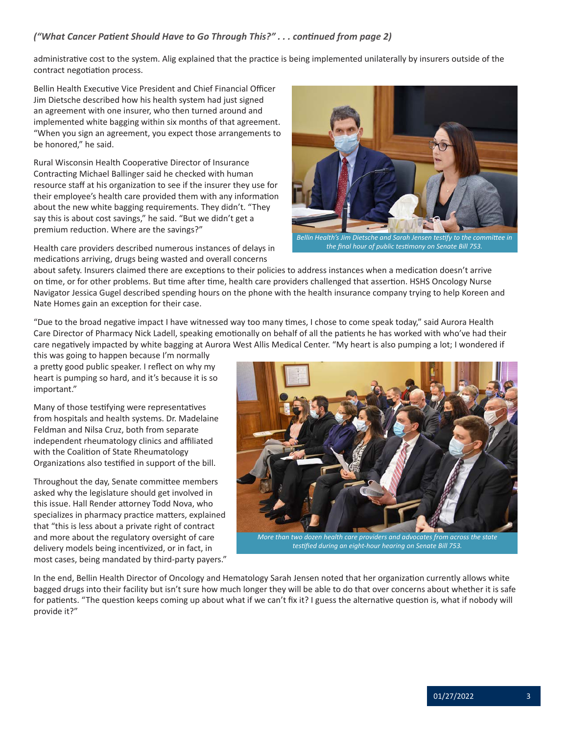### *("What Cancer Patient Should Have to Go Through This?" . . . continued from page 2)*

administrative cost to the system. Alig explained that the practice is being implemented unilaterally by insurers outside of the contract negotiation process.

Bellin Health Executive Vice President and Chief Financial Officer Jim Dietsche described how his health system had just signed an agreement with one insurer, who then turned around and implemented white bagging within six months of that agreement. "When you sign an agreement, you expect those arrangements to be honored," he said.

Rural Wisconsin Health Cooperative Director of Insurance Contracting Michael Ballinger said he checked with human resource staff at his organization to see if the insurer they use for their employee's health care provided them with any information about the new white bagging requirements. They didn't. "They say this is about cost savings," he said. "But we didn't get a premium reduction. Where are the savings?"

Health care providers described numerous instances of delays in medications arriving, drugs being wasted and overall concerns



*Bellin Health's Jim Dietsche and Sarah Jensen testify to the committee in the final hour of public testimony on Senate Bill 753.*

about safety. Insurers claimed there are exceptions to their policies to address instances when a medication doesn't arrive on time, or for other problems. But time after time, health care providers challenged that assertion. HSHS Oncology Nurse Navigator Jessica Gugel described spending hours on the phone with the health insurance company trying to help Koreen and Nate Homes gain an exception for their case.

"Due to the broad negative impact I have witnessed way too many times, I chose to come speak today," said Aurora Health Care Director of Pharmacy Nick Ladell, speaking emotionally on behalf of all the patients he has worked with who've had their care negatively impacted by white bagging at Aurora West Allis Medical Center. "My heart is also pumping a lot; I wondered if

this was going to happen because I'm normally a pretty good public speaker. I reflect on why my heart is pumping so hard, and it's because it is so important."

Many of those testifying were representatives from hospitals and health systems. Dr. Madelaine Feldman and Nilsa Cruz, both from separate independent rheumatology clinics and affiliated with the Coalition of State Rheumatology Organizations also testified in support of the bill.

Throughout the day, Senate committee members asked why the legislature should get involved in this issue. Hall Render attorney Todd Nova, who specializes in pharmacy practice matters, explained that "this is less about a private right of contract and more about the regulatory oversight of care delivery models being incentivized, or in fact, in most cases, being mandated by third-party payers."



*More than two dozen health care providers and advocates from across the state testified during an eight-hour hearing on Senate Bill 753.*

In the end, Bellin Health Director of Oncology and Hematology Sarah Jensen noted that her organization currently allows white bagged drugs into their facility but isn't sure how much longer they will be able to do that over concerns about whether it is safe for patients. "The question keeps coming up about what if we can't fix it? I guess the alternative question is, what if nobody will provide it?"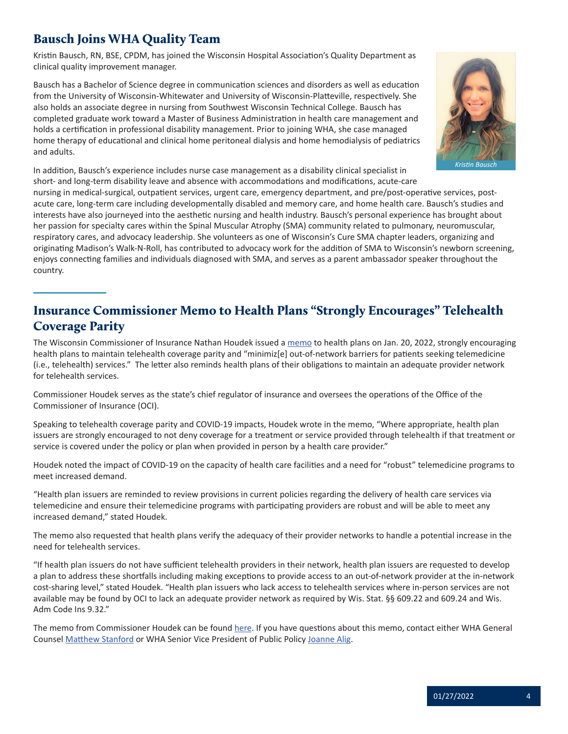# <span id="page-3-0"></span>Bausch Joins WHA Quality Team

Kristin Bausch, RN, BSE, CPDM, has joined the Wisconsin Hospital Association's Quality Department as clinical quality improvement manager.

Bausch has a Bachelor of Science degree in communication sciences and disorders as well as education from the University of Wisconsin-Whitewater and University of Wisconsin-Platteville, respectively. She also holds an associate degree in nursing from Southwest Wisconsin Technical College. Bausch has completed graduate work toward a Master of Business Administration in health care management and holds a certification in professional disability management. Prior to joining WHA, she case managed home therapy of educational and clinical home peritoneal dialysis and home hemodialysis of pediatrics and adults.



In addition, Bausch's experience includes nurse case management as a disability clinical specialist in short- and long-term disability leave and absence with accommodations and modifications, acute-care

nursing in medical-surgical, outpatient services, urgent care, emergency department, and pre/post-operative services, postacute care, long-term care including developmentally disabled and memory care, and home health care. Bausch's studies and interests have also journeyed into the aesthetic nursing and health industry. Bausch's personal experience has brought about her passion for specialty cares within the Spinal Muscular Atrophy (SMA) community related to pulmonary, neuromuscular, respiratory cares, and advocacy leadership. She volunteers as one of Wisconsin's Cure SMA chapter leaders, organizing and originating Madison's Walk-N-Roll, has contributed to advocacy work for the addition of SMA to Wisconsin's newborn screening, enjoys connecting families and individuals diagnosed with SMA, and serves as a parent ambassador speaker throughout the country.

# Insurance Commissioner Memo to Health Plans "Strongly Encourages" Telehealth Coverage Parity

The Wisconsin Commissioner of Insurance Nathan Houdek issued a [memo](https://oci.wi.gov/Documents/Regulation/Bulletin20220120Telehealth.pdf) to health plans on Jan. 20, 2022, strongly encouraging health plans to maintain telehealth coverage parity and "minimiz[e] out-of-network barriers for patients seeking telemedicine (i.e., telehealth) services." The letter also reminds health plans of their obligations to maintain an adequate provider network for telehealth services.

Commissioner Houdek serves as the state's chief regulator of insurance and oversees the operations of the Office of the Commissioner of Insurance (OCI).

Speaking to telehealth coverage parity and COVID-19 impacts, Houdek wrote in the memo, "Where appropriate, health plan issuers are strongly encouraged to not deny coverage for a treatment or service provided through telehealth if that treatment or service is covered under the policy or plan when provided in person by a health care provider."

Houdek noted the impact of COVID-19 on the capacity of health care facilities and a need for "robust" telemedicine programs to meet increased demand.

"Health plan issuers are reminded to review provisions in current policies regarding the delivery of health care services via telemedicine and ensure their telemedicine programs with participating providers are robust and will be able to meet any increased demand," stated Houdek.

The memo also requested that health plans verify the adequacy of their provider networks to handle a potential increase in the need for telehealth services.

"If health plan issuers do not have sufficient telehealth providers in their network, health plan issuers are requested to develop a plan to address these shortfalls including making exceptions to provide access to an out-of-network provider at the in-network cost-sharing level," stated Houdek. "Health plan issuers who lack access to telehealth services where in-person services are not available may be found by OCI to lack an adequate provider network as required by Wis. Stat. §§ 609.22 and 609.24 and Wis. Adm Code Ins 9.32."

The memo from Commissioner Houdek can be found [here](https://oci.wi.gov/Documents/Regulation/Bulletin20220120Telehealth.pdf). If you have questions about this memo, contact either WHA General Counsel [Matthew Stanford](mailto:mstanford@wha.org) or WHA Senior Vice President of Public Policy [Joanne Alig](mailto:jalig@wha.org).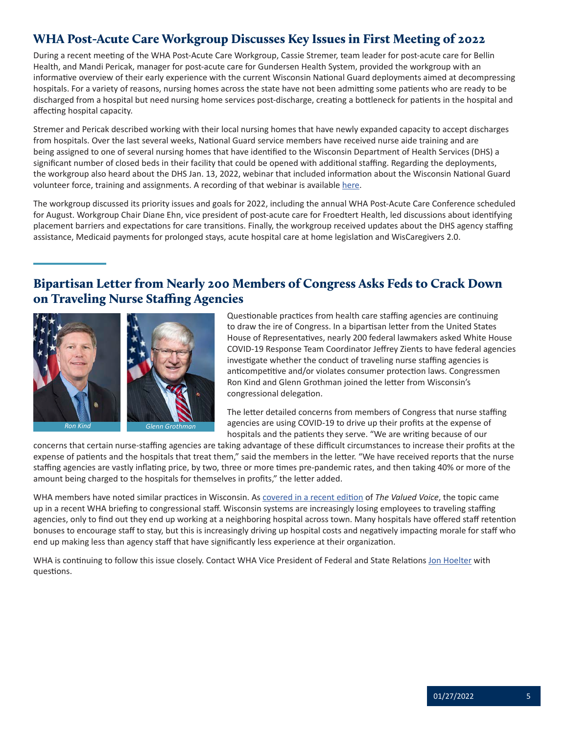# <span id="page-4-0"></span>WHA Post-Acute Care Workgroup Discusses Key Issues in First Meeting of 2022

During a recent meeting of the WHA Post-Acute Care Workgroup, Cassie Stremer, team leader for post-acute care for Bellin Health, and Mandi Pericak, manager for post-acute care for Gundersen Health System, provided the workgroup with an informative overview of their early experience with the current Wisconsin National Guard deployments aimed at decompressing hospitals. For a variety of reasons, nursing homes across the state have not been admitting some patients who are ready to be discharged from a hospital but need nursing home services post-discharge, creating a bottleneck for patients in the hospital and affecting hospital capacity.

Stremer and Pericak described working with their local nursing homes that have newly expanded capacity to accept discharges from hospitals. Over the last several weeks, National Guard service members have received nurse aide training and are being assigned to one of several nursing homes that have identified to the Wisconsin Department of Health Services (DHS) a significant number of closed beds in their facility that could be opened with additional staffing. Regarding the deployments, the workgroup also heard about the DHS Jan. 13, 2022, webinar that included information about the Wisconsin National Guard volunteer force, training and assignments. A recording of that webinar is available [here](https://vimeo.com/showcase/8444401/video/666006506).

The workgroup discussed its priority issues and goals for 2022, including the annual WHA Post-Acute Care Conference scheduled for August. Workgroup Chair Diane Ehn, vice president of post-acute care for Froedtert Health, led discussions about identifying placement barriers and expectations for care transitions. Finally, the workgroup received updates about the DHS agency staffing assistance, Medicaid payments for prolonged stays, acute hospital care at home legislation and WisCaregivers 2.0.

## Bipartisan Letter from Nearly 200 Members of Congress Asks Feds to Crack Down on Traveling Nurse Staffing Agencies



*Glenn Groth* 

Questionable practices from health care staffing agencies are continuing to draw the ire of Congress. In a bipartisan letter from the United States House of Representatives, nearly 200 federal lawmakers asked White House COVID-19 Response Team Coordinator Jeffrey Zients to have federal agencies investigate whether the conduct of traveling nurse staffing agencies is anticompetitive and/or violates consumer protection laws. Congressmen Ron Kind and Glenn Grothman joined the letter from Wisconsin's congressional delegation.

The letter detailed concerns from members of Congress that nurse staffing agencies are using COVID-19 to drive up their profits at the expense of hospitals and the patients they serve. "We are writing because of our

concerns that certain nurse-staffing agencies are taking advantage of these difficult circumstances to increase their profits at the expense of patients and the hospitals that treat them," said the members in the letter. "We have received reports that the nurse staffing agencies are vastly inflating price, by two, three or more times pre-pandemic rates, and then taking 40% or more of the amount being charged to the hospitals for themselves in profits," the letter added.

WHA members have noted similar practices in Wisconsin. As [covered in a recent edition](https://www.wha.org/MediaRoom/WHANewsletter/2022/01-20-2022/Hospital-Leaders-Brief-Wisconsin-Congressional-Del) of *The Valued Voice*, the topic came up in a recent WHA briefing to congressional staff. Wisconsin systems are increasingly losing employees to traveling staffing agencies, only to find out they end up working at a neighboring hospital across town. Many hospitals have offered staff retention bonuses to encourage staff to stay, but this is increasingly driving up hospital costs and negatively impacting morale for staff who end up making less than agency staff that have significantly less experience at their organization.

WHA is continuing to follow this issue closely. Contact WHA Vice President of Federal and State Relations [Jon Hoelter](mailto:jhoelter@wha.org) with questions.